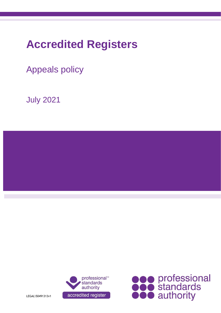# **Accredited Registers**

Appeals policy

July 2021







LEGAL\50491313v1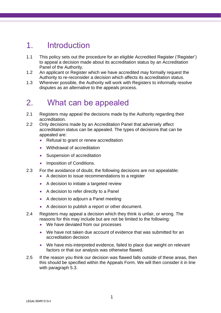# 1. Introduction

- 1.1 This policy sets out the procedure for an eligible Accredited Register ('Register') to appeal a decision made about its accreditation status by an Accreditation Panel of the Authority.
- 1.2 An applicant or Register which we have accredited may formally request the Authority to re-reconsider a decision which affects its accreditation status.
- 1.3 Wherever possible, the Authority will work with Registers to informally resolve disputes as an alternative to the appeals process.

# 2. What can be appealed

- 2.1 Registers may appeal the decisions made by the Authority regarding their accreditation.
- 2.2 Only decisions made by an Accreditation Panel that adversely affect accreditation status can be appealed. The types of decisions that can be appealed are:
	- Refusal to grant or renew accreditation
	- Withdrawal of accreditation
	- Suspension of accreditation
	- Imposition of Conditions.
- 2.3 For the avoidance of doubt, the following decisions are not appealable:
	- A decision to issue recommendations to a register
	- A decision to initiate a targeted review
	- A decision to refer directly to a Panel
	- A decision to adjourn a Panel meeting
	- A decision to publish a report or other document.
- 2.4 Registers may appeal a decision which they think is unfair, or wrong. The reasons for this may include but are not be limited to the following:
	- We have deviated from our processes
	- We have not taken due account of evidence that was submitted for an accreditation decision
	- We have mis-interpreted evidence, failed to place due weight on relevant factors or that our analysis was otherwise flawed.
- 2.5 If the reason you think our decision was flawed falls outside of these areas, then this should be specified within the Appeals Form. We will then consider it in line with paragraph 5.3.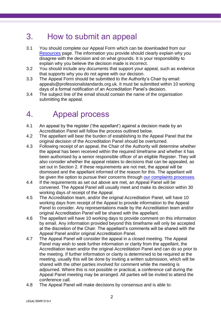# 3. How to submit an appeal

- 3.1 You should complete our Appeal Form which can be downloaded from our [Resources](https://www.professionalstandards.org.uk/what-we-do/accredited-registers/resources) page. The information you provide should clearly explain why you disagree with the decision and on what grounds. It is your responsibility to explain why you believe the decision made is incorrect.
- 3.2 You should include any documents that support your appeal, such as evidence that supports why you do not agree with our decision.
- 3.3 The Appeal Form should be submitted to the Authority's Chair by email: appeals@professionalstandards.org.uk. It must be submitted within 10 working days of a formal notification of an Accreditation Panel's decision.
- 3.4 The subject line of the email should contain the name of the organisation submitting the appeal.

# 4. Appeal process

- 4.1 An appeal by the register ('the appellant') against a decision made by an Accreditation Panel will follow the process outlined below.
- 4.2 The appellant will bear the burden of establishing to the Appeal Panel that the original decision of the Accreditation Panel should be overturned.
- 4.3 Following receipt of an appeal, the Chair of the Authority will determine whether the appeal has been received within the required timeframe and whether it has been authorised by a senior responsible officer of an eligible Register. They will also consider whether the appeal relates to decisions that can be appealed, as set out in Section 2. If these requirements are not met, the appeal will be dismissed and the appellant informed of the reason for this. The appellant will be given the option to pursue their concerns through [our complaints processes.](https://www.professionalstandards.org.uk/about-us/make-a-complaint-about-us)
- 4.4 If the requirements as set out above are met, an Appeal Panel will be convened. The Appeal Panel will usually meet and make its decision within 30 working days of receipt of the Appeal.
- 4.5 The Accreditation team, and/or the original Accreditation Panel, will have 10 working days from receipt of the Appeal to provide information to the Appeal Panel to consider. Any representations made by the Accreditation team and/or original Accreditation Panel will be shared with the appellant.
- 4.6 The appellant will have 10 working days to provide comment on this information by email. Any information provided beyond this timeframe will only be accepted at the discretion of the Chair. The appellant's comments will be shared with the Appeal Panel and/or original Accreditation Panel.
- 4.7 The Appeal Panel will consider the appeal in a closed meeting. The Appeal Panel may wish to seek further information or clarity from the appellant, the Accreditation team and/or the original Accreditation Panel and can do so prior to the meeting. If further information or clarity is determined to be required at the meeting, usually this will be done by inviting a written submission, which will be shared with the other parties involved for comment while the meeting is adjourned. Where this is not possible or practical, a conference call during the Appeal Panel meeting may be arranged. All parties will be invited to attend the conference call.
- 4.8 The Appeal Panel will make decisions by consensus and is able to: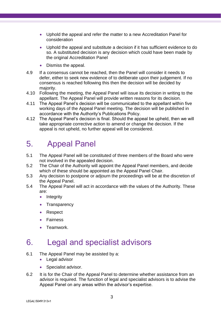- Uphold the appeal and refer the matter to a new Accreditation Panel for consideration
- Uphold the appeal and substitute a decision if it has sufficient evidence to do so. A substituted decision is any decision which could have been made by the original Accreditation Panel
- Dismiss the appeal.
- 4.9 If a consensus cannot be reached, then the Panel will consider it needs to defer, either to seek new evidence of to deliberate upon their judgement. If no consensus is reached following this then the decision will be decided by majority.
- 4.10 Following the meeting, the Appeal Panel will issue its decision in writing to the appellant. The Appeal Panel will provide written reasons for its decision.
- 4.11 The Appeal Panel's decision will be communicated to the appellant within five working days of the Appeal Panel meeting. The decision will be published in accordance with the Authority's Publications Policy.
- 4.12 The Appeal Panel's decision is final. Should the appeal be upheld, then we will take appropriate corrective action to amend or change the decision. If the appeal is not upheld, no further appeal will be considered.

# 5. Appeal Panel

- 5.1 The Appeal Panel will be constituted of three members of the Board who were not involved in the appealed decision.
- 5.2 The Chair of the Authority will appoint the Appeal Panel members, and decide which of these should be appointed as the Appeal Panel Chair.
- 5.3 Any decision to postpone or adjourn the proceedings will be at the discretion of the Appeal Panel.
- 5.4 The Appeal Panel will act in accordance with the values of the Authority. These are:
	- Integrity
	- Transparency
	- Respect
	- Fairness
	- Teamwork.

# 6. Legal and specialist advisors

- 6.1 The Appeal Panel may be assisted by a:
	- Legal advisor
	- Specialist advisor.
- 6.2 It is for the Chair of the Appeal Panel to determine whether assistance from an advisor is required. The function of legal and specialist advisors is to advise the Appeal Panel on any areas within the advisor's expertise.